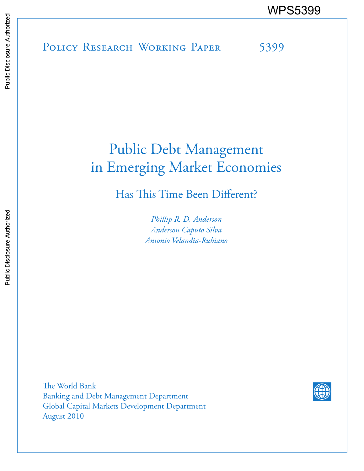# POLICY RESEARCH WORKING PAPER 5399 WPS5399<br>
Media<br>
Media<br>
Policy Research Working Paper 5399<br>
Policy Research Working Paper 5399

# Public Debt Management in Emerging Market Economies

Has This Time Been Different?

*Phillip R. D. Anderson Anderson Caputo Silva Antonio Velandia-Rubiano*

The World Bank Banking and Debt Management Department Global Capital Markets Development Department August 2010

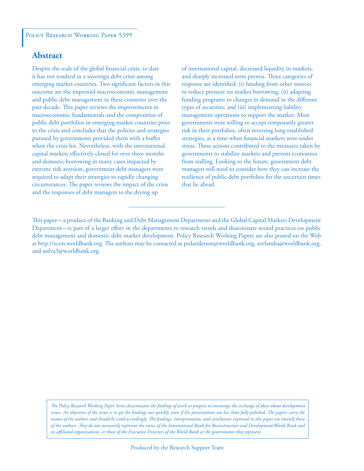# **Abstract**

Despite the scale of the global financial crisis, to date it has not resulted in a sovereign debt crisis among emerging market countries. Two significant factors in this outcome are the improved macroeconomic management and public debt management in these countries over the past decade. This paper reviews the improvements in macroeconomic fundamentals and the composition of public debt portfolios in emerging market countries prior to the crisis and concludes that the policies and strategies pursued by governments provided them with a buffer when the crisis hit. Nevertheless, with the international capital markets effectively closed for over three months and domestic borrowing in many cases impacted by extreme risk aversion, government debt managers were required to adapt their strategies to rapidly changing circumstances. The paper reviews the impact of the crisis and the responses of debt managers to the drying up

of international capital, decreased liquidity in markets, and sharply increased term premia. Three categories of response are identified: (i) funding from other sources to reduce pressure on market borrowing; (ii) adapting funding programs to changes in demand in the different types of securities; and (iii) implementing liability management operations to support the market. Most governments were willing to accept temporarily greater risk in their portfolios, often reversing long established strategies, at a time when financial markets were under stress. These actions contributed to the measures taken by governments to stabilize markets and prevent economies from stalling. Looking to the future, government debt managers will need to consider how they can increase the resilience of public debt portfolios for the uncertain times that lie ahead.

*The Policy Research Working Paper Series disseminates the findings of work in progress to encourage the exchange of ideas about development*  issues. An objective of the series is to get the findings out quickly, even if the presentations are less than fully polished. The papers carry the *names of the authors and should be cited accordingly. The findings, interpretations, and conclusions expressed in this paper are entirely those of the authors. They do not necessarily represent the views of the International Bank for Reconstruction and Development/World Bank and its affiliated organizations, or those of the Executive Directors of the World Bank or the governments they represent.*

This paper—a product of the Banking and Debt Management Department and the Global Capital Markets Development Department—is part of a larger effort in the departments to research trends and disseminate sound practices on public debt management and domestic debt market development. Policy Research Working Papers are also posted on the Web at http://econ.worldbank.org. The authors may be contacted at prdanderson@worldbank.org, avelandia@worldbank.org, and asilva3@worldbank.org.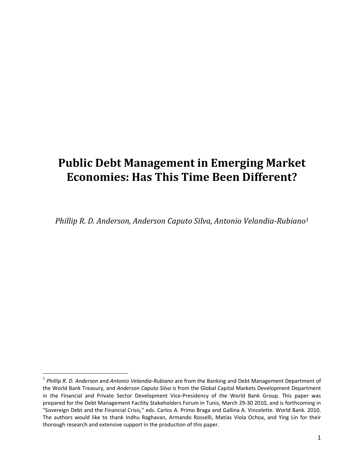# **Public Debt Management in Emerging Market Economies: Has This Time Been Different?**

*Phillip R. D. Anderson, Anderson Caputo Silva, Antonio VelandiaRubiano1*

<sup>1</sup> *Phillip R. D. Anderson* and *Antonio Velandia‐Rubiano* are from the Banking and Debt Management Department of the World Bank Treasury, and *Anderson Caputo Silva* is from the Global Capital Markets Development Department in the Financial and Private Sector Development Vice-Presidency of the World Bank Group. This paper was prepared for the Debt Management Facility Stakeholders Forum in Tunis, March 29‐30 2010, and is forthcoming in "Sovereign Debt and the Financial Crisis," eds. Carlos A. Primo Braga and Gallina A. Vincelette. World Bank. 2010. The authors would like to thank Indhu Raghavan, Armando Rosselli, Matías Viola Ochoa, and Ying Lin for their thorough research and extensive support in the production of this paper.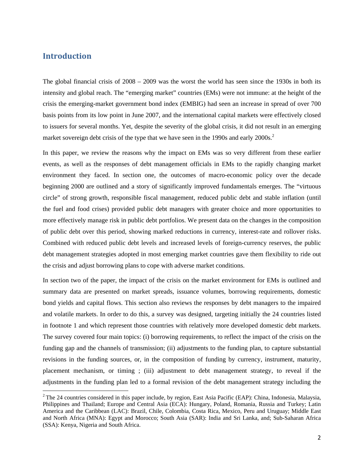# **Introduction**

The global financial crisis of 2008 – 2009 was the worst the world has seen since the 1930s in both its intensity and global reach. The "emerging market" countries (EMs) were not immune: at the height of the crisis the emerging-market government bond index (EMBIG) had seen an increase in spread of over 700 basis points from its low point in June 2007, and the international capital markets were effectively closed to issuers for several months. Yet, despite the severity of the global crisis, it did not result in an emerging market sovereign debt crisis of the type that we have seen in the 1990s and early 2000s.<sup>2</sup>

In this paper, we review the reasons why the impact on EMs was so very different from these earlier events, as well as the responses of debt management officials in EMs to the rapidly changing market environment they faced. In section one, the outcomes of macro-economic policy over the decade beginning 2000 are outlined and a story of significantly improved fundamentals emerges. The "virtuous circle" of strong growth, responsible fiscal management, reduced public debt and stable inflation (until the fuel and food crises) provided public debt managers with greater choice and more opportunities to more effectively manage risk in public debt portfolios. We present data on the changes in the composition of public debt over this period, showing marked reductions in currency, interest-rate and rollover risks. Combined with reduced public debt levels and increased levels of foreign-currency reserves, the public debt management strategies adopted in most emerging market countries gave them flexibility to ride out the crisis and adjust borrowing plans to cope with adverse market conditions.

In section two of the paper, the impact of the crisis on the market environment for EMs is outlined and summary data are presented on market spreads, issuance volumes, borrowing requirements, domestic bond yields and capital flows. This section also reviews the responses by debt managers to the impaired and volatile markets. In order to do this, a survey was designed, targeting initially the 24 countries listed in footnote 1 and which represent those countries with relatively more developed domestic debt markets. The survey covered four main topics: (i) borrowing requirements, to reflect the impact of the crisis on the funding gap and the channels of transmission; (ii) adjustments to the funding plan, to capture substantial revisions in the funding sources, or, in the composition of funding by currency, instrument, maturity, placement mechanism, or timing ; (iii) adjustment to debt management strategy, to reveal if the adjustments in the funding plan led to a formal revision of the debt management strategy including the

 $2$  The 24 countries considered in this paper include, by region, East Asia Pacific (EAP): China, Indonesia, Malaysia, Philippines and Thailand; Europe and Central Asia (ECA): Hungary, Poland, Romania, Russia and Turkey; Latin America and the Caribbean (LAC): Brazil, Chile, Colombia, Costa Rica, Mexico, Peru and Uruguay; Middle East and North Africa (MNA): Egypt and Morocco; South Asia (SAR): India and Sri Lanka, and; Sub-Saharan Africa (SSA): Kenya, Nigeria and South Africa.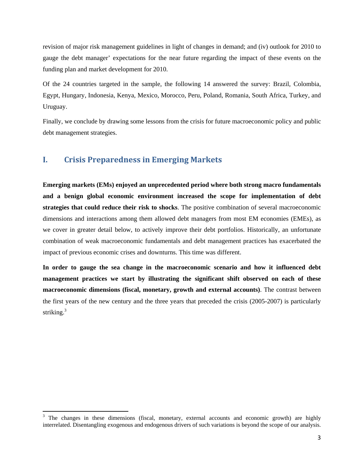revision of major risk management guidelines in light of changes in demand; and (iv) outlook for 2010 to gauge the debt manager' expectations for the near future regarding the impact of these events on the funding plan and market development for 2010.

Of the 24 countries targeted in the sample, the following 14 answered the survey: Brazil, Colombia, Egypt, Hungary, Indonesia, Kenya, Mexico, Morocco, Peru, Poland, Romania, South Africa, Turkey, and Uruguay.

Finally, we conclude by drawing some lessons from the crisis for future macroeconomic policy and public debt management strategies.

# **I. Crisis Preparedness in Emerging Markets**

**Emerging markets (EMs) enjoyed an unprecedented period where both strong macro fundamentals and a benign global economic environment increased the scope for implementation of debt strategies that could reduce their risk to shocks**. The positive combination of several macroeconomic dimensions and interactions among them allowed debt managers from most EM economies (EMEs), as we cover in greater detail below, to actively improve their debt portfolios. Historically, an unfortunate combination of weak macroeconomic fundamentals and debt management practices has exacerbated the impact of previous economic crises and downturns. This time was different.

**In order to gauge the sea change in the macroeconomic scenario and how it influenced debt management practices we start by illustrating the significant shift observed on each of these macroeconomic dimensions (fiscal, monetary, growth and external accounts)**. The contrast between the first years of the new century and the three years that preceded the crisis (2005-2007) is particularly striking. $3$ 

<sup>&</sup>lt;sup>3</sup> The changes in these dimensions (fiscal, monetary, external accounts and economic growth) are highly interrelated. Disentangling exogenous and endogenous drivers of such variations is beyond the scope of our analysis.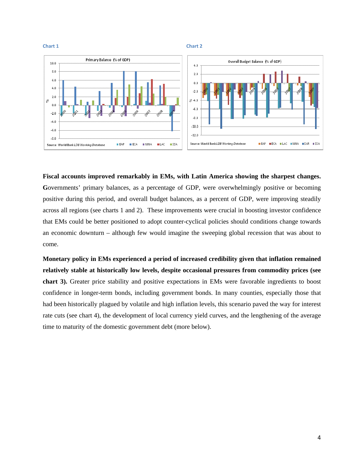



**Fiscal accounts improved remarkably in EMs, with Latin America showing the sharpest changes. G**overnments' primary balances, as a percentage of GDP, were overwhelmingly positive or becoming positive during this period, and overall budget balances, as a percent of GDP, were improving steadily across all regions (see charts 1 and 2). These improvements were crucial in boosting investor confidence that EMs could be better positioned to adopt counter-cyclical policies should conditions change towards an economic downturn – although few would imagine the sweeping global recession that was about to come.

**Monetary policy in EMs experienced a period of increased credibility given that inflation remained relatively stable at historically low levels, despite occasional pressures from commodity prices (see chart 3).** Greater price stability and positive expectations in EMs were favorable ingredients to boost confidence in longer-term bonds, including government bonds. In many counties, especially those that had been historically plagued by volatile and high inflation levels, this scenario paved the way for interest rate cuts (see chart 4), the development of local currency yield curves, and the lengthening of the average time to maturity of the domestic government debt (more below).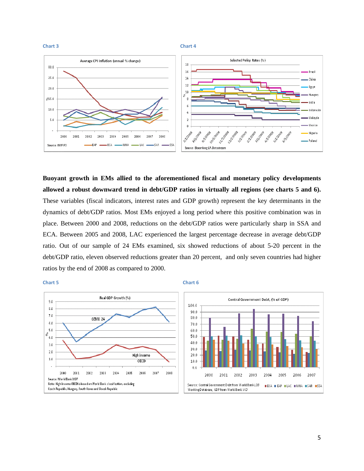



**Buoyant growth in EMs allied to the aforementioned fiscal and monetary policy developments allowed a robust downward trend in debt/GDP ratios in virtually all regions (see charts 5 and 6).** These variables (fiscal indicators, interest rates and GDP growth) represent the key determinants in the dynamics of debt/GDP ratios. Most EMs enjoyed a long period where this positive combination was in place. Between 2000 and 2008, reductions on the debt/GDP ratios were particularly sharp in SSA and ECA. Between 2005 and 2008, LAC experienced the largest percentage decrease in average debt/GDP ratio. Out of our sample of 24 EMs examined, six showed reductions of about 5-20 percent in the debt/GDP ratio, eleven observed reductions greater than 20 percent, and only seven countries had higher ratios by the end of 2008 as compared to 2000.



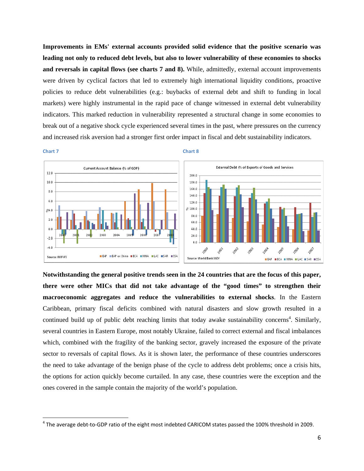**Improvements in EMs' external accounts provided solid evidence that the positive scenario was leading not only to reduced debt levels, but also to lower vulnerability of these economies to shocks and reversals in capital flows (see charts 7 and 8).** While, admittedly, external account improvements were driven by cyclical factors that led to extremely high international liquidity conditions, proactive policies to reduce debt vulnerabilities (e.g.: buybacks of external debt and shift to funding in local markets) were highly instrumental in the rapid pace of change witnessed in external debt vulnerability indicators. This marked reduction in vulnerability represented a structural change in some economies to break out of a negative shock cycle experienced several times in the past, where pressures on the currency and increased risk aversion had a stronger first order impact in fiscal and debt sustainability indicators.

### **Chart 7 Chart 8**



**Notwithstanding the general positive trends seen in the 24 countries that are the focus of this paper, there were other MICs that did not take advantage of the "good times" to strengthen their macroeconomic aggregates and reduce the vulnerabilities to external shocks**. In the Eastern Caribbean, primary fiscal deficits combined with natural disasters and slow growth resulted in a continued build up of public debt reaching limits that today awake sustainability concerns<sup>4</sup>. Similarly, several countries in Eastern Europe, most notably Ukraine, failed to correct external and fiscal imbalances which, combined with the fragility of the banking sector, gravely increased the exposure of the private sector to reversals of capital flows. As it is shown later, the performance of these countries underscores the need to take advantage of the benign phase of the cycle to address debt problems; once a crisis hits, the options for action quickly become curtailed. In any case, these countries were the exception and the ones covered in the sample contain the majority of the world's population.

<sup>&</sup>lt;sup>4</sup> The average debt-to-GDP ratio of the eight most indebted CARICOM states passed the 100% threshold in 2009.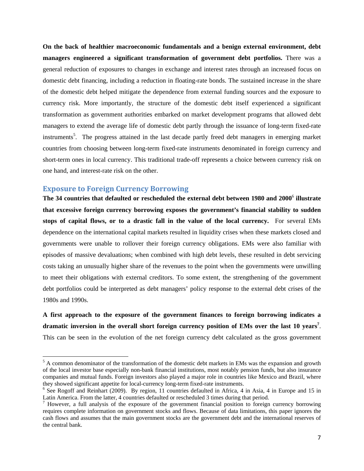**On the back of healthier macroeconomic fundamentals and a benign external environment, debt managers engineered a significant transformation of government debt portfolios.** There was a general reduction of exposures to changes in exchange and interest rates through an increased focus on domestic debt financing, including a reduction in floating-rate bonds. The sustained increase in the share of the domestic debt helped mitigate the dependence from external funding sources and the exposure to currency risk. More importantly, the structure of the domestic debt itself experienced a significant transformation as government authorities embarked on market development programs that allowed debt managers to extend the average life of domestic debt partly through the issuance of long-term fixed-rate instruments<sup>5</sup>. The progress attained in the last decade partly freed debt managers in emerging market countries from choosing between long-term fixed-rate instruments denominated in foreign currency and short-term ones in local currency. This traditional trade-off represents a choice between currency risk on one hand, and interest-rate risk on the other.

# **Exposure to Foreign Currency Borrowing**

**The 34 countries that defaulted or rescheduled the external debt between 1980 and 2000**<sup>6</sup> **illustrate that excessive foreign currency borrowing exposes the government's financial stability to sudden stops of capital flows, or to a drastic fall in the value of the local currency.** For several EMs dependence on the international capital markets resulted in liquidity crises when these markets closed and governments were unable to rollover their foreign currency obligations. EMs were also familiar with episodes of massive devaluations; when combined with high debt levels, these resulted in debt servicing costs taking an unusually higher share of the revenues to the point when the governments were unwilling to meet their obligations with external creditors. To some extent, the strengthening of the government debt portfolios could be interpreted as debt managers' policy response to the external debt crises of the 1980s and 1990s.

**A first approach to the exposure of the government finances to foreign borrowing indicates a dramatic inversion in the overall short foreign currency position of EMs over the last 10 years<sup>7</sup>** . This can be seen in the evolution of the net foreign currency debt calculated as the gross government

<sup>&</sup>lt;sup>5</sup> A common denominator of the transformation of the domestic debt markets in EMs was the expansion and growth of the local investor base especially non-bank financial institutions, most notably pension funds, but also insurance companies and mutual funds. Foreign investors also played a major role in countries like Mexico and Brazil, where they showed significant appetite for local-currency long-term fixed-rate instruments. 6

 $6$  See Rogoff and Reinhart (2009). By region, 11 countries defaulted in Africa, 4 in Asia, 4 in Europe and 15 in Latin America. From the latter, 4 countries defaulted or rescheduled 3 times during that period.

<sup>&</sup>lt;sup>7</sup> However, a full analysis of the exposure of the government financial position to foreign currency borrowing requires complete information on government stocks and flows. Because of data limitations, this paper ignores the cash flows and assumes that the main government stocks are the government debt and the international reserves of the central bank.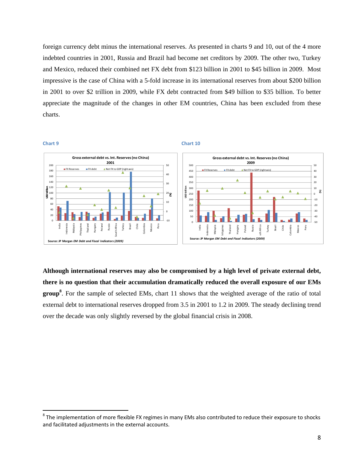foreign currency debt minus the international reserves. As presented in charts 9 and 10, out of the 4 more indebted countries in 2001, Russia and Brazil had become net creditors by 2009. The other two, Turkey and Mexico, reduced their combined net FX debt from \$123 billion in 2001 to \$45 billion in 2009. Most impressive is the case of China with a 5-fold increase in its international reserves from about \$200 billion in 2001 to over \$2 trillion in 2009, while FX debt contracted from \$49 billion to \$35 billion. To better appreciate the magnitude of the changes in other EM countries, China has been excluded from these charts.

### **Chart 9 Chart 10 Gross external debt vs. Int. Reserves(no China) Gross external debt vs. Int. Reserves(no China) 2001 2009** 200 50 500 50 FX debt A Net FX to GDP (right axis) **FX Reserves** FX debt A Net FX to GDP (rightaxis) 180 40 450 40 160 400 30 140 350 20 30 USD billion **USD billion** 300 10 **USD billion** 120 A Δ **(%)** 250  $\mathbf{0}$ 100 20 **(%)** Ä 80 200 ‐10  $10^{-1}$ 60 150  $-20$ 40 100 ‐30  $\mathbf{0}$  $\overline{20}$ 50  $-40$ ‐10 0 0 ‐50 Mexico Turkey Chile Colombia Peru **Africa** Brazil India Indonesia Malaysia Philippines Thailand Hungary Russia South Africa Hungary Chile hilippines Thailand Poland Russia th Africa Turkey Brazil Colombia Mexico Peru Poland India Indonesia Malaysia Philippines **Contrict Library** iilippii puth **Source: JP Morgan** *EM Debt and Fiscal Indicators (2009)***Source: JP Morgan** *EM Debt and Fiscal Indicators (2009)*

**Although international reserves may also be compromised by a high level of private external debt, there is no question that their accumulation dramatically reduced the overall exposure of our EMs group<sup>8</sup>** . For the sample of selected EMs, chart 11 shows that the weighted average of the ratio of total external debt to international reserves dropped from 3.5 in 2001 to 1.2 in 2009. The steady declining trend over the decade was only slightly reversed by the global financial crisis in 2008.

 $^8$  The implementation of more flexible FX regimes in many EMs also contributed to reduce their exposure to shocks and facilitated adjustments in the external accounts.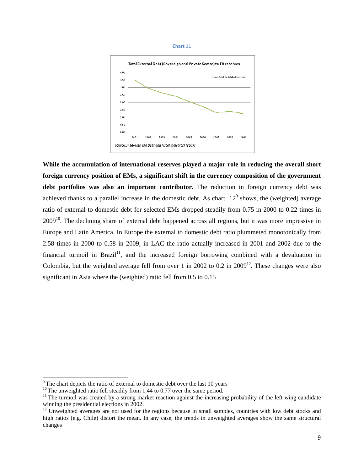



**While the accumulation of international reserves played a major role in reducing the overall short foreign currency position of EMs, a significant shift in the currency composition of the government debt portfolios was also an important contributor.** The reduction in foreign currency debt was achieved thanks to a parallel increase in the domestic debt. As chart  $12^9$  shows, the (weighted) average ratio of external to domestic debt for selected EMs dropped steadily from 0.75 in 2000 to 0.22 times in 2009<sup>10</sup>. The declining share of external debt happened across all regions, but it was more impressive in Europe and Latin America. In Europe the external to domestic debt ratio plummeted monotonically from 2.58 times in 2000 to 0.58 in 2009; in LAC the ratio actually increased in 2001 and 2002 due to the financial turmoil in Brazil<sup>11</sup>, and the increased foreign borrowing combined with a devaluation in Colombia, but the weighted average fell from over 1 in 2002 to 0.2 in 2009<sup>12</sup>. These changes were also significant in Asia where the (weighted) ratio fell from 0.5 to 0.15

<u> 1989 - Johann Barn, mars ann an t-Amhain an t-Amhain an t-Amhain an t-Amhain an t-Amhain an t-Amhain an t-Amh</u>

<sup>&</sup>lt;sup>9</sup> The chart depicts the ratio of external to domestic debt over the last 10 years <sup>10</sup> The unweighted ratio fell steadily from 1.44 to 0.77 over the same period.

 $11$  The turmoil was created by a strong market reaction against the increasing probability of the left wing candidate winning the presidential elections in 2002.

<sup>&</sup>lt;sup>12</sup> Unweighted averages are not used for the regions because in small samples, countries with low debt stocks and high ratios (e.g. Chile) distort the mean. In any case, the trends in unweighted averages show the same structural changes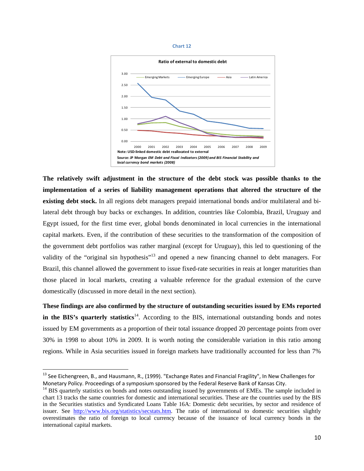



**The relatively swift adjustment in the structure of the debt stock was possible thanks to the implementation of a series of liability management operations that altered the structure of the existing debt stock.** In all regions debt managers prepaid international bonds and/or multilateral and bilateral debt through buy backs or exchanges. In addition, countries like Colombia, Brazil, Uruguay and Egypt issued, for the first time ever, global bonds denominated in local currencies in the international capital markets. Even, if the contribution of these securities to the transformation of the composition of the government debt portfolios was rather marginal (except for Uruguay), this led to questioning of the validity of the "original sin hypothesis"<sup>13</sup> and opened a new financing channel to debt managers. For Brazil, this channel allowed the government to issue fixed-rate securities in reais at longer maturities than those placed in local markets, creating a valuable reference for the gradual extension of the curve domestically (discussed in more detail in the next section).

**These findings are also confirmed by the structure of outstanding securities issued by EMs reported in the BIS's quarterly statistics**<sup>14</sup>. According to the BIS, international outstanding bonds and notes issued by EM governments as a proportion of their total issuance dropped 20 percentage points from over 30% in 1998 to about 10% in 2009. It is worth noting the considerable variation in this ratio among regions. While in Asia securities issued in foreign markets have traditionally accounted for less than 7%

<sup>&</sup>lt;sup>13</sup> See Eichengreen, B., and Hausmann, R., (1999). "Exchange Rates and Financial Fragility", In New Challenges for Monetary Policy. Proceedings of a symposium sponsored by the Federal Reserve Bank of Kansas City.<br><sup>14</sup> BIS quarterly statistics on bonds and notes outstanding issued by governments of EMEs. The sample included in

chart 13 tracks the same countries for domestic and international securities. These are the countries used by the BIS in the Securities statistics and Syndicated Loans Table 16A: Domestic debt securities, by sector and residence of issuer. See http://www.bis.org/statistics/secstats.htm. The ratio of international to domestic securities slightly overestimates the ratio of foreign to local currency because of the issuance of local currency bonds in the international capital markets.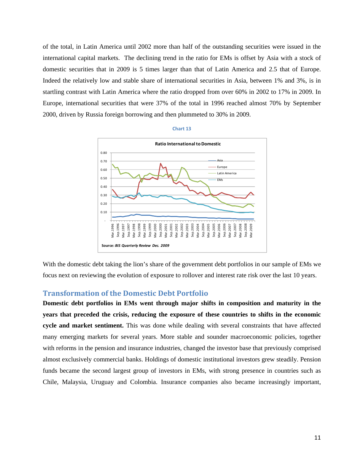of the total, in Latin America until 2002 more than half of the outstanding securities were issued in the international capital markets. The declining trend in the ratio for EMs is offset by Asia with a stock of domestic securities that in 2009 is 5 times larger than that of Latin America and 2.5 that of Europe. Indeed the relatively low and stable share of international securities in Asia, between 1% and 3%, is in startling contrast with Latin America where the ratio dropped from over 60% in 2002 to 17% in 2009. In Europe, international securities that were 37% of the total in 1996 reached almost 70% by September 2000, driven by Russia foreign borrowing and then plummeted to 30% in 2009.





With the domestic debt taking the lion's share of the government debt portfolios in our sample of EMs we focus next on reviewing the evolution of exposure to rollover and interest rate risk over the last 10 years.

# **Transformation of the Domestic Debt Portfolio**

**Domestic debt portfolios in EMs went through major shifts in composition and maturity in the years that preceded the crisis, reducing the exposure of these countries to shifts in the economic cycle and market sentiment.** This was done while dealing with several constraints that have affected many emerging markets for several years. More stable and sounder macroeconomic policies, together with reforms in the pension and insurance industries, changed the investor base that previously comprised almost exclusively commercial banks. Holdings of domestic institutional investors grew steadily. Pension funds became the second largest group of investors in EMs, with strong presence in countries such as Chile, Malaysia, Uruguay and Colombia. Insurance companies also became increasingly important,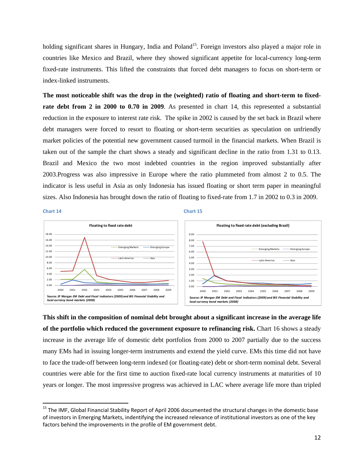holding significant shares in Hungary, India and Poland<sup>15</sup>. Foreign investors also played a major role in countries like Mexico and Brazil, where they showed significant appetite for local-currency long-term fixed-rate instruments. This lifted the constraints that forced debt managers to focus on short-term or index-linked instruments.

**The most noticeable shift was the drop in the (weighted) ratio of floating and short-term to fixedrate debt from 2 in 2000 to 0.70 in 2009**. As presented in chart 14, this represented a substantial reduction in the exposure to interest rate risk. The spike in 2002 is caused by the set back in Brazil where debt managers were forced to resort to floating or short-term securities as speculation on unfriendly market policies of the potential new government caused turmoil in the financial markets. When Brazil is taken out of the sample the chart shows a steady and significant decline in the ratio from 1.31 to 0.13. Brazil and Mexico the two most indebted countries in the region improved substantially after 2003.Progress was also impressive in Europe where the ratio plummeted from almost 2 to 0.5. The indicator is less useful in Asia as only Indonesia has issued floating or short term paper in meaningful sizes. Also Indonesia has brought down the ratio of floating to fixed-rate from 1.7 in 2002 to 0.3 in 2009.

### **Chart 14 Chart 15 Chart 15**



**This shift in the composition of nominal debt brought about a significant increase in the average life of the portfolio which reduced the government exposure to refinancing risk.** Chart 16 shows a steady increase in the average life of domestic debt portfolios from 2000 to 2007 partially due to the success many EMs had in issuing longer-term instruments and extend the yield curve. EMs this time did not have to face the trade-off between long-term indexed (or floating-rate) debt or short-term nominal debt. Several countries were able for the first time to auction fixed-rate local currency instruments at maturities of 10 years or longer. The most impressive progress was achieved in LAC where average life more than tripled

<sup>&</sup>lt;sup>15</sup> The IMF, Global Financial Stability Report of April 2006 documented the structural changes in the domestic base of investors in Emerging Markets, indentifying the increased relevance of institutional investors as one of the key factors behind the improvements in the profile of EM government debt.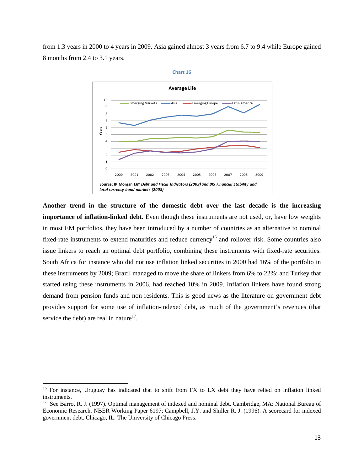from 1.3 years in 2000 to 4 years in 2009. Asia gained almost 3 years from 6.7 to 9.4 while Europe gained 8 months from 2.4 to 3.1 years.





**Another trend in the structure of the domestic debt over the last decade is the increasing importance of inflation-linked debt.** Even though these instruments are not used, or, have low weights in most EM portfolios, they have been introduced by a number of countries as an alternative to nominal fixed-rate instruments to extend maturities and reduce currency<sup>16</sup> and rollover risk. Some countries also issue linkers to reach an optimal debt portfolio, combining these instruments with fixed-rate securities. South Africa for instance who did not use inflation linked securities in 2000 had 16% of the portfolio in these instruments by 2009; Brazil managed to move the share of linkers from 6% to 22%; and Turkey that started using these instruments in 2006, had reached 10% in 2009. Inflation linkers have found strong demand from pension funds and non residents. This is good news as the literature on government debt provides support for some use of inflation-indexed debt, as much of the government's revenues (that service the debt) are real in nature<sup>17</sup>.

<sup>&</sup>lt;sup>16</sup> For instance, Uruguay has indicated that to shift from FX to LX debt they have relied on inflation linked instruments.

<sup>&</sup>lt;sup>17</sup> See Barro, R. J. (1997). Optimal management of indexed and nominal debt. Cambridge, MA: National Bureau of Economic Research. NBER Working Paper 6197; Campbell, J.Y. and Shiller R. J. (1996). A scorecard for indexed government debt. Chicago, IL: The University of Chicago Press.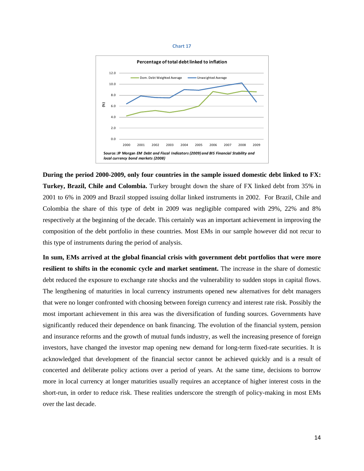



**During the period 2000-2009, only four countries in the sample issued domestic debt linked to FX: Turkey, Brazil, Chile and Colombia.** Turkey brought down the share of FX linked debt from 35% in 2001 to 6% in 2009 and Brazil stopped issuing dollar linked instruments in 2002. For Brazil, Chile and Colombia the share of this type of debt in 2009 was negligible compared with 29%, 22% and 8% respectively at the beginning of the decade. This certainly was an important achievement in improving the composition of the debt portfolio in these countries. Most EMs in our sample however did not recur to this type of instruments during the period of analysis.

**In sum, EMs arrived at the global financial crisis with government debt portfolios that were more resilient to shifts in the economic cycle and market sentiment.** The increase in the share of domestic debt reduced the exposure to exchange rate shocks and the vulnerability to sudden stops in capital flows. The lengthening of maturities in local currency instruments opened new alternatives for debt managers that were no longer confronted with choosing between foreign currency and interest rate risk. Possibly the most important achievement in this area was the diversification of funding sources. Governments have significantly reduced their dependence on bank financing. The evolution of the financial system, pension and insurance reforms and the growth of mutual funds industry, as well the increasing presence of foreign investors, have changed the investor map opening new demand for long-term fixed-rate securities. It is acknowledged that development of the financial sector cannot be achieved quickly and is a result of concerted and deliberate policy actions over a period of years. At the same time, decisions to borrow more in local currency at longer maturities usually requires an acceptance of higher interest costs in the short-run, in order to reduce risk. These realities underscore the strength of policy-making in most EMs over the last decade.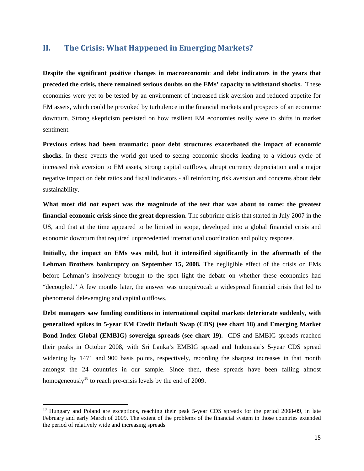# **II. The Crisis: What Happened in Emerging Markets?**

**Despite the significant positive changes in macroeconomic and debt indicators in the years that preceded the crisis, there remained serious doubts on the EMs' capacity to withstand shocks.** These economies were yet to be tested by an environment of increased risk aversion and reduced appetite for EM assets, which could be provoked by turbulence in the financial markets and prospects of an economic downturn. Strong skepticism persisted on how resilient EM economies really were to shifts in market sentiment.

**Previous crises had been traumatic: poor debt structures exacerbated the impact of economic shocks.** In these events the world got used to seeing economic shocks leading to a vicious cycle of increased risk aversion to EM assets, strong capital outflows, abrupt currency depreciation and a major negative impact on debt ratios and fiscal indicators - all reinforcing risk aversion and concerns about debt sustainability.

**What most did not expect was the magnitude of the test that was about to come: the greatest financial-economic crisis since the great depression.** The subprime crisis that started in July 2007 in the US, and that at the time appeared to be limited in scope, developed into a global financial crisis and economic downturn that required unprecedented international coordination and policy response.

**Initially, the impact on EMs was mild, but it intensified significantly in the aftermath of the**  Lehman Brothers bankruptcy on September 15, 2008. The negligible effect of the crisis on EMs before Lehman's insolvency brought to the spot light the debate on whether these economies had "decoupled." A few months later, the answer was unequivocal: a widespread financial crisis that led to phenomenal deleveraging and capital outflows.

**Debt managers saw funding conditions in international capital markets deteriorate suddenly, with generalized spikes in 5-year EM Credit Default Swap (CDS) (see chart 18) and Emerging Market Bond Index Global (EMBIG) sovereign spreads (see chart 19).** CDS and EMBIG spreads reached their peaks in October 2008, with Sri Lanka's EMBIG spread and Indonesia's 5-year CDS spread widening by 1471 and 900 basis points, respectively, recording the sharpest increases in that month amongst the 24 countries in our sample. Since then, these spreads have been falling almost homogeneously<sup>18</sup> to reach pre-crisis levels by the end of 2009.

<sup>&</sup>lt;sup>18</sup> Hungary and Poland are exceptions, reaching their peak 5-year CDS spreads for the period 2008-09, in late February and early March of 2009. The extent of the problems of the financial system in those countries extended the period of relatively wide and increasing spreads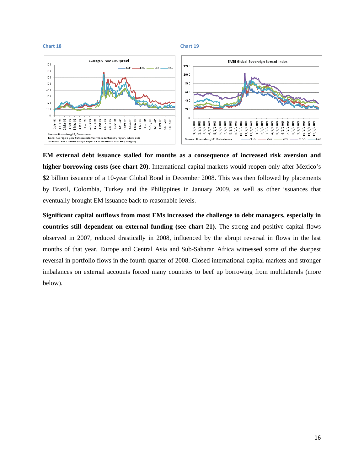# **Chart 18 Chart 19**



**EM external debt issuance stalled for months as a consequence of increased risk aversion and higher borrowing costs (see chart 20).** International capital markets would reopen only after Mexico's \$2 billion issuance of a 10-year Global Bond in December 2008. This was then followed by placements by Brazil, Colombia, Turkey and the Philippines in January 2009, as well as other issuances that eventually brought EM issuance back to reasonable levels.

**Significant capital outflows from most EMs increased the challenge to debt managers, especially in countries still dependent on external funding (see chart 21).** The strong and positive capital flows observed in 2007, reduced drastically in 2008, influenced by the abrupt reversal in flows in the last months of that year. Europe and Central Asia and Sub-Saharan Africa witnessed some of the sharpest reversal in portfolio flows in the fourth quarter of 2008. Closed international capital markets and stronger imbalances on external accounts forced many countries to beef up borrowing from multilaterals (more below).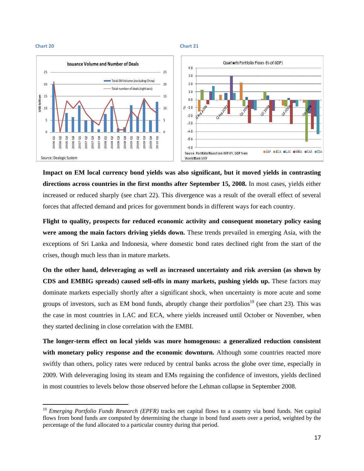



**Impact on EM local currency bond yields was also significant, but it moved yields in contrasting directions across countries in the first months after September 15, 2008.** In most cases, yields either increased or reduced sharply (see chart 22). This divergence was a result of the overall effect of several forces that affected demand and prices for government bonds in different ways for each country.

**Flight to quality, prospects for reduced economic activity and consequent monetary policy easing were among the main factors driving yields down.** These trends prevailed in emerging Asia, with the exceptions of Sri Lanka and Indonesia, where domestic bond rates declined right from the start of the crises, though much less than in mature markets.

**On the other hand, deleveraging as well as increased uncertainty and risk aversion (as shown by CDS and EMBIG spreads) caused sell-offs in many markets, pushing yields up.** These factors may dominate markets especially shortly after a significant shock, when uncertainty is more acute and some groups of investors, such as EM bond funds, abruptly change their portfolios<sup>19</sup> (see chart 23). This was the case in most countries in LAC and ECA, where yields increased until October or November, when they started declining in close correlation with the EMBI.

**The longer-term effect on local yields was more homogenous: a generalized reduction consistent with monetary policy response and the economic downturn.** Although some countries reacted more swiftly than others, policy rates were reduced by central banks across the globe over time, especially in 2009. With deleveraging losing its steam and EMs regaining the confidence of investors, yields declined in most countries to levels below those observed before the Lehman collapse in September 2008.

<sup>&</sup>lt;sup>19</sup> *Emerging Portfolio Funds Research (EPFR)* tracks net capital flows to a country via bond funds. Net capital flows from bond funds are computed by determining the change in bond fund assets over a period, weighted by the percentage of the fund allocated to a particular country during that period.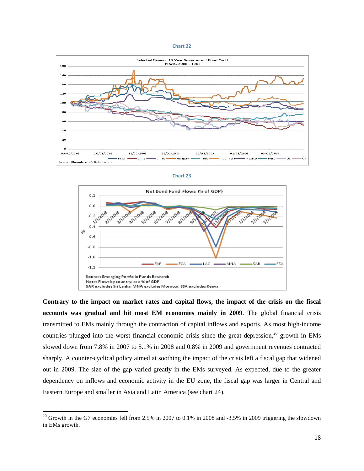| ۰, | .<br>$\frac{1}{2}$ |  |  |
|----|--------------------|--|--|







**Contrary to the impact on market rates and capital flows, the impact of the crisis on the fiscal accounts was gradual and hit most EM economies mainly in 2009**. The global financial crisis transmitted to EMs mainly through the contraction of capital inflows and exports. As most high-income countries plunged into the worst financial-economic crisis since the great depression,<sup>20</sup> growth in EMs slowed down from 7.8% in 2007 to 5.1% in 2008 and 0.8% in 2009 and government revenues contracted sharply. A counter-cyclical policy aimed at soothing the impact of the crisis left a fiscal gap that widened out in 2009. The size of the gap varied greatly in the EMs surveyed. As expected, due to the greater dependency on inflows and economic activity in the EU zone, the fiscal gap was larger in Central and Eastern Europe and smaller in Asia and Latin America (see chart 24).

<sup>&</sup>lt;sup>20</sup> Growth in the G7 economies fell from 2.5% in 2007 to 0.1% in 2008 and -3.5% in 2009 triggering the slowdown in EMs growth.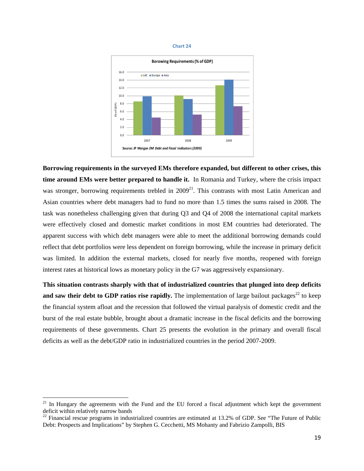



**Borrowing requirements in the surveyed EMs therefore expanded, but different to other crises, this time around EMs were better prepared to handle it.** In Romania and Turkey, where the crisis impact was stronger, borrowing requirements trebled in  $2009^{21}$ . This contrasts with most Latin American and Asian countries where debt managers had to fund no more than 1.5 times the sums raised in 2008. The task was nonetheless challenging given that during Q3 and Q4 of 2008 the international capital markets were effectively closed and domestic market conditions in most EM countries had deteriorated. The apparent success with which debt managers were able to meet the additional borrowing demands could reflect that debt portfolios were less dependent on foreign borrowing, while the increase in primary deficit was limited. In addition the external markets, closed for nearly five months, reopened with foreign interest rates at historical lows as monetary policy in the G7 was aggressively expansionary.

**This situation contrasts sharply with that of industrialized countries that plunged into deep deficits and saw their debt to GDP ratios rise rapidly.** The implementation of large bailout packages<sup>22</sup> to keep the financial system afloat and the recession that followed the virtual paralysis of domestic credit and the burst of the real estate bubble, brought about a dramatic increase in the fiscal deficits and the borrowing requirements of these governments. Chart 25 presents the evolution in the primary and overall fiscal deficits as well as the debt/GDP ratio in industrialized countries in the period 2007-2009.

<sup>&</sup>lt;sup>21</sup> In Hungary the agreements with the Fund and the EU forced a fiscal adjustment which kept the government deficit within relatively narrow bands

<sup>&</sup>lt;sup>22</sup> Financial rescue programs in industrialized countries are estimated at 13.2% of GDP. See "The Future of Public Debt: Prospects and Implications" by Stephen G. Cecchetti, MS Mohanty and Fabrizio Zampolli, BIS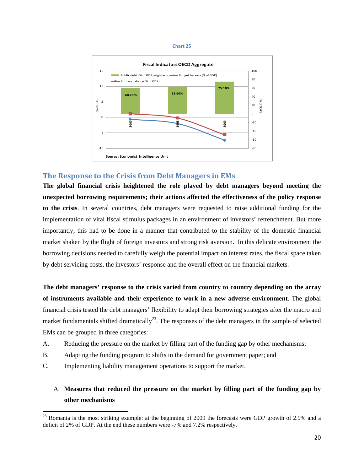# **Chart 25**



# **The Response to the Crisis from Debt Managers in EMs**

**The global financial crisis heightened the role played by debt managers beyond meeting the unexpected borrowing requirements; their actions affected the effectiveness of the policy response to the crisis**. In several countries, debt managers were requested to raise additional funding for the implementation of vital fiscal stimulus packages in an environment of investors' retrenchment. But more importantly, this had to be done in a manner that contributed to the stability of the domestic financial market shaken by the flight of foreign investors and strong risk aversion. In this delicate environment the borrowing decisions needed to carefully weigh the potential impact on interest rates, the fiscal space taken by debt servicing costs, the investors' response and the overall effect on the financial markets.

**The debt managers' response to the crisis varied from country to country depending on the array of instruments available and their experience to work in a new adverse environment**. The global financial crisis tested the debt managers' flexibility to adapt their borrowing strategies after the macro and market fundamentals shifted dramatically<sup>23</sup>. The responses of the debt managers in the sample of selected EMs can be grouped in three categories:

- A. Reducing the pressure on the market by filling part of the funding gap by other mechanisms;
- B. Adapting the funding program to shifts in the demand for government paper; and
- C. Implementing liability management operations to support the market.

# A. **Measures that reduced the pressure on the market by filling part of the funding gap by other mechanisms**

 $^{23}$  Romania is the most striking example: at the beginning of 2009 the forecasts were GDP growth of 2.9% and a deficit of 2% of GDP. At the end these numbers were -7% and 7.2% respectively.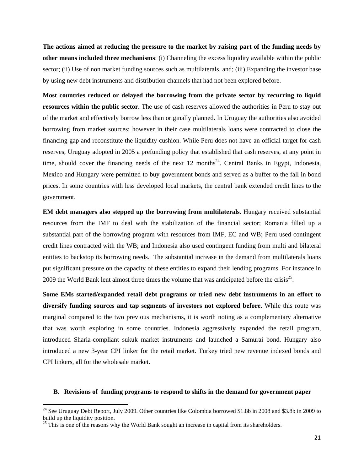**The actions aimed at reducing the pressure to the market by raising part of the funding needs by other means included three mechanisms**: (i) Channeling the excess liquidity available within the public sector; (ii) Use of non market funding sources such as multilaterals, and; (iii) Expanding the investor base by using new debt instruments and distribution channels that had not been explored before.

**Most countries reduced or delayed the borrowing from the private sector by recurring to liquid resources within the public sector.** The use of cash reserves allowed the authorities in Peru to stay out of the market and effectively borrow less than originally planned. In Uruguay the authorities also avoided borrowing from market sources; however in their case multilaterals loans were contracted to close the financing gap and reconstitute the liquidity cushion. While Peru does not have an official target for cash reserves, Uruguay adopted in 2005 a prefunding policy that established that cash reserves, at any point in time, should cover the financing needs of the next 12 months<sup>24</sup>. Central Banks in Egypt, Indonesia, Mexico and Hungary were permitted to buy government bonds and served as a buffer to the fall in bond prices. In some countries with less developed local markets, the central bank extended credit lines to the government.

**EM debt managers also stepped up the borrowing from multilaterals.** Hungary received substantial resources from the IMF to deal with the stabilization of the financial sector; Romania filled up a substantial part of the borrowing program with resources from IMF, EC and WB; Peru used contingent credit lines contracted with the WB; and Indonesia also used contingent funding from multi and bilateral entities to backstop its borrowing needs. The substantial increase in the demand from multilaterals loans put significant pressure on the capacity of these entities to expand their lending programs. For instance in 2009 the World Bank lent almost three times the volume that was anticipated before the crisis<sup>25</sup>.

**Some EMs started/expanded retail debt programs or tried new debt instruments in an effort to diversify funding sources and tap segments of investors not explored before.** While this route was marginal compared to the two previous mechanisms, it is worth noting as a complementary alternative that was worth exploring in some countries. Indonesia aggressively expanded the retail program, introduced Sharia-compliant sukuk market instruments and launched a Samurai bond. Hungary also introduced a new 3-year CPI linker for the retail market. Turkey tried new revenue indexed bonds and CPI linkers, all for the wholesale market.

# **B. Revisions of funding programs to respond to shifts in the demand for government paper**

 $24$  See Uruguay Debt Report, July 2009. Other countries like Colombia borrowed \$1.8b in 2008 and \$3.8b in 2009 to build up the liquidity position.

 $^{25}$  This is one of the reasons why the World Bank sought an increase in capital from its shareholders.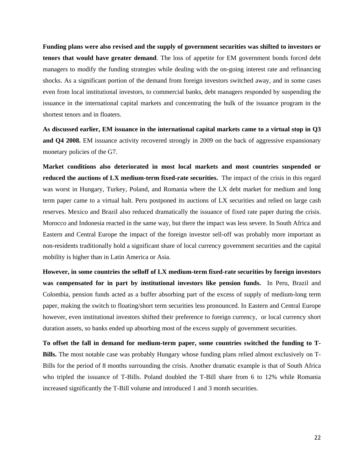**Funding plans were also revised and the supply of government securities was shifted to investors or tenors that would have greater demand**. The loss of appetite for EM government bonds forced debt managers to modify the funding strategies while dealing with the on-going interest rate and refinancing shocks. As a significant portion of the demand from foreign investors switched away, and in some cases even from local institutional investors, to commercial banks, debt managers responded by suspending the issuance in the international capital markets and concentrating the bulk of the issuance program in the shortest tenors and in floaters.

**As discussed earlier, EM issuance in the international capital markets came to a virtual stop in Q3 and Q4 2008.** EM issuance activity recovered strongly in 2009 on the back of aggressive expansionary monetary policies of the G7.

**Market conditions also deteriorated in most local markets and most countries suspended or reduced the auctions of LX medium-term fixed-rate securities.** The impact of the crisis in this regard was worst in Hungary, Turkey, Poland, and Romania where the LX debt market for medium and long term paper came to a virtual halt. Peru postponed its auctions of LX securities and relied on large cash reserves. Mexico and Brazil also reduced dramatically the issuance of fixed rate paper during the crisis. Morocco and Indonesia reacted in the same way, but there the impact was less severe. In South Africa and Eastern and Central Europe the impact of the foreign investor sell-off was probably more important as non-residents traditionally hold a significant share of local currency government securities and the capital mobility is higher than in Latin America or Asia.

**However, in some countries the selloff of LX medium-term fixed-rate securities by foreign investors was compensated for in part by institutional investors like pension funds.** In Peru, Brazil and Colombia, pension funds acted as a buffer absorbing part of the excess of supply of medium-long term paper, making the switch to floating/short term securities less pronounced. In Eastern and Central Europe however, even institutional investors shifted their preference to foreign currency, or local currency short duration assets, so banks ended up absorbing most of the excess supply of government securities.

**To offset the fall in demand for medium-term paper, some countries switched the funding to T-Bills.** The most notable case was probably Hungary whose funding plans relied almost exclusively on T-Bills for the period of 8 months surrounding the crisis. Another dramatic example is that of South Africa who tripled the issuance of T-Bills. Poland doubled the T-Bill share from 6 to 12% while Romania increased significantly the T-Bill volume and introduced 1 and 3 month securities.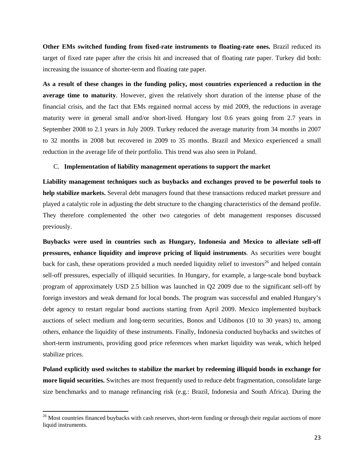**Other EMs switched funding from fixed-rate instruments to floating-rate ones.** Brazil reduced its target of fixed rate paper after the crisis hit and increased that of floating rate paper. Turkey did both: increasing the issuance of shorter-term and floating rate paper.

**As a result of these changes in the funding policy, most countries experienced a reduction in the average time to maturity**. However, given the relatively short duration of the intense phase of the financial crisis, and the fact that EMs regained normal access by mid 2009, the reductions in average maturity were in general small and/or short-lived. Hungary lost 0.6 years going from 2.7 years in September 2008 to 2.1 years in July 2009. Turkey reduced the average maturity from 34 months in 2007 to 32 months in 2008 but recovered in 2009 to 35 months. Brazil and Mexico experienced a small reduction in the average life of their portfolio. This trend was also seen in Poland.

# C. **Implementation of liability management operations to support the market**

**Liability management techniques such as buybacks and exchanges proved to be powerful tools to help stabilize markets.** Several debt managers found that these transactions reduced market pressure and played a catalytic role in adjusting the debt structure to the changing characteristics of the demand profile. They therefore complemented the other two categories of debt management responses discussed previously.

**Buybacks were used in countries such as Hungary, Indonesia and Mexico to alleviate sell-off pressures, enhance liquidity and improve pricing of liquid instruments**. As securities were bought back for cash, these operations provided a much needed liquidity relief to investors<sup>26</sup> and helped contain sell-off pressures, especially of illiquid securities. In Hungary, for example, a large-scale bond buyback program of approximately USD 2.5 billion was launched in Q2 2009 due to the significant sell-off by foreign investors and weak demand for local bonds. The program was successful and enabled Hungary's debt agency to restart regular bond auctions starting from April 2009. Mexico implemented buyback auctions of select medium and long-term securities, Bonos and Udibonos (10 to 30 years) to, among others, enhance the liquidity of these instruments. Finally, Indonesia conducted buybacks and switches of short-term instruments, providing good price references when market liquidity was weak, which helped stabilize prices.

**Poland explicitly used switches to stabilize the market by redeeming illiquid bonds in exchange for more liquid securities.** Switches are most frequently used to reduce debt fragmentation, consolidate large size benchmarks and to manage refinancing risk (e.g.: Brazil, Indonesia and South Africa). During the

 $26$  Most countries financed buybacks with cash reserves, short-term funding or through their regular auctions of more liquid instruments.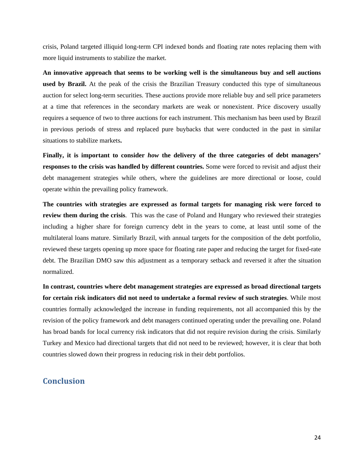crisis, Poland targeted illiquid long-term CPI indexed bonds and floating rate notes replacing them with more liquid instruments to stabilize the market.

**An innovative approach that seems to be working well is the simultaneous buy and sell auctions used by Brazil.** At the peak of the crisis the Brazilian Treasury conducted this type of simultaneous auction for select long-term securities. These auctions provide more reliable buy and sell price parameters at a time that references in the secondary markets are weak or nonexistent. Price discovery usually requires a sequence of two to three auctions for each instrument. This mechanism has been used by Brazil in previous periods of stress and replaced pure buybacks that were conducted in the past in similar situations to stabilize markets**.** 

**Finally, it is important to consider** *how* **the delivery of the three categories of debt managers' responses to the crisis was handled by different countries.** Some were forced to revisit and adjust their debt management strategies while others, where the guidelines are more directional or loose, could operate within the prevailing policy framework.

**The countries with strategies are expressed as formal targets for managing risk were forced to review them during the crisis**. This was the case of Poland and Hungary who reviewed their strategies including a higher share for foreign currency debt in the years to come, at least until some of the multilateral loans mature. Similarly Brazil, with annual targets for the composition of the debt portfolio, reviewed these targets opening up more space for floating rate paper and reducing the target for fixed-rate debt. The Brazilian DMO saw this adjustment as a temporary setback and reversed it after the situation normalized.

**In contrast, countries where debt management strategies are expressed as broad directional targets for certain risk indicators did not need to undertake a formal review of such strategies**. While most countries formally acknowledged the increase in funding requirements, not all accompanied this by the revision of the policy framework and debt managers continued operating under the prevailing one. Poland has broad bands for local currency risk indicators that did not require revision during the crisis. Similarly Turkey and Mexico had directional targets that did not need to be reviewed; however, it is clear that both countries slowed down their progress in reducing risk in their debt portfolios.

# **Conclusion**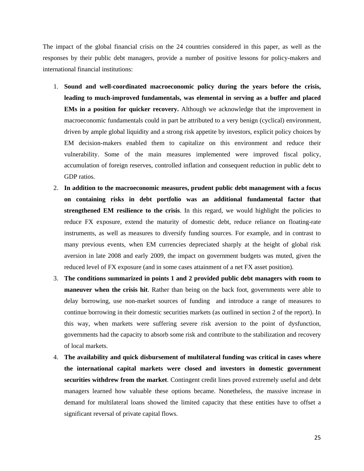The impact of the global financial crisis on the 24 countries considered in this paper, as well as the responses by their public debt managers, provide a number of positive lessons for policy-makers and international financial institutions:

- 1. **Sound and well-coordinated macroeconomic policy during the years before the crisis, leading to much-improved fundamentals, was elemental in serving as a buffer and placed EMs in a position for quicker recovery.** Although we acknowledge that the improvement in macroeconomic fundamentals could in part be attributed to a very benign (cyclical) environment, driven by ample global liquidity and a strong risk appetite by investors, explicit policy choices by EM decision-makers enabled them to capitalize on this environment and reduce their vulnerability. Some of the main measures implemented were improved fiscal policy, accumulation of foreign reserves, controlled inflation and consequent reduction in public debt to GDP ratios.
- 2. **In addition to the macroeconomic measures, prudent public debt management with a focus on containing risks in debt portfolio was an additional fundamental factor that strengthened EM resilience to the crisis**. In this regard, we would highlight the policies to reduce FX exposure, extend the maturity of domestic debt, reduce reliance on floating-rate instruments, as well as measures to diversify funding sources. For example, and in contrast to many previous events, when EM currencies depreciated sharply at the height of global risk aversion in late 2008 and early 2009, the impact on government budgets was muted, given the reduced level of FX exposure (and in some cases attainment of a net FX asset position).
- 3. **The conditions summarized in points 1 and 2 provided public debt managers with room to maneuver when the crisis hit**. Rather than being on the back foot, governments were able to delay borrowing, use non-market sources of funding and introduce a range of measures to continue borrowing in their domestic securities markets (as outlined in section 2 of the report). In this way, when markets were suffering severe risk aversion to the point of dysfunction, governments had the capacity to absorb some risk and contribute to the stabilization and recovery of local markets.
- 4. **The availability and quick disbursement of multilateral funding was critical in cases where the international capital markets were closed and investors in domestic government securities withdrew from the market**. Contingent credit lines proved extremely useful and debt managers learned how valuable these options became. Nonetheless, the massive increase in demand for multilateral loans showed the limited capacity that these entities have to offset a significant reversal of private capital flows.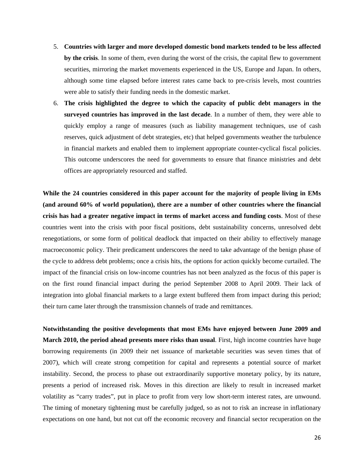- 5. **Countries with larger and more developed domestic bond markets tended to be less affected by the crisis**. In some of them, even during the worst of the crisis, the capital flew to government securities, mirroring the market movements experienced in the US, Europe and Japan. In others, although some time elapsed before interest rates came back to pre-crisis levels, most countries were able to satisfy their funding needs in the domestic market.
- 6. **The crisis highlighted the degree to which the capacity of public debt managers in the surveyed countries has improved in the last decade**. In a number of them, they were able to quickly employ a range of measures (such as liability management techniques, use of cash reserves, quick adjustment of debt strategies, etc) that helped governments weather the turbulence in financial markets and enabled them to implement appropriate counter-cyclical fiscal policies. This outcome underscores the need for governments to ensure that finance ministries and debt offices are appropriately resourced and staffed.

**While the 24 countries considered in this paper account for the majority of people living in EMs (and around 60% of world population), there are a number of other countries where the financial crisis has had a greater negative impact in terms of market access and funding costs**. Most of these countries went into the crisis with poor fiscal positions, debt sustainability concerns, unresolved debt renegotiations, or some form of political deadlock that impacted on their ability to effectively manage macroeconomic policy. Their predicament underscores the need to take advantage of the benign phase of the cycle to address debt problems; once a crisis hits, the options for action quickly become curtailed. The impact of the financial crisis on low-income countries has not been analyzed as the focus of this paper is on the first round financial impact during the period September 2008 to April 2009. Their lack of integration into global financial markets to a large extent buffered them from impact during this period; their turn came later through the transmission channels of trade and remittances.

**Notwithstanding the positive developments that most EMs have enjoyed between June 2009 and March 2010, the period ahead presents more risks than usual**. First, high income countries have huge borrowing requirements (in 2009 their net issuance of marketable securities was seven times that of 2007), which will create strong competition for capital and represents a potential source of market instability. Second, the process to phase out extraordinarily supportive monetary policy, by its nature, presents a period of increased risk. Moves in this direction are likely to result in increased market volatility as "carry trades", put in place to profit from very low short-term interest rates, are unwound. The timing of monetary tightening must be carefully judged, so as not to risk an increase in inflationary expectations on one hand, but not cut off the economic recovery and financial sector recuperation on the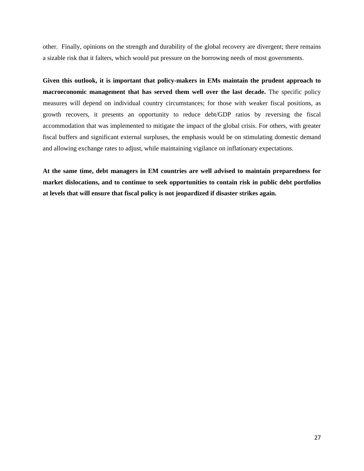other. Finally, opinions on the strength and durability of the global recovery are divergent; there remains a sizable risk that it falters, which would put pressure on the borrowing needs of most governments.

**Given this outlook, it is important that policy-makers in EMs maintain the prudent approach to macroeconomic management that has served them well over the last decade.** The specific policy measures will depend on individual country circumstances; for those with weaker fiscal positions, as growth recovers, it presents an opportunity to reduce debt/GDP ratios by reversing the fiscal accommodation that was implemented to mitigate the impact of the global crisis. For others, with greater fiscal buffers and significant external surpluses, the emphasis would be on stimulating domestic demand and allowing exchange rates to adjust, while maintaining vigilance on inflationary expectations.

**At the same time, debt managers in EM countries are well advised to maintain preparedness for market dislocations, and to continue to seek opportunities to contain risk in public debt portfolios at levels that will ensure that fiscal policy is not jeopardized if disaster strikes again.**